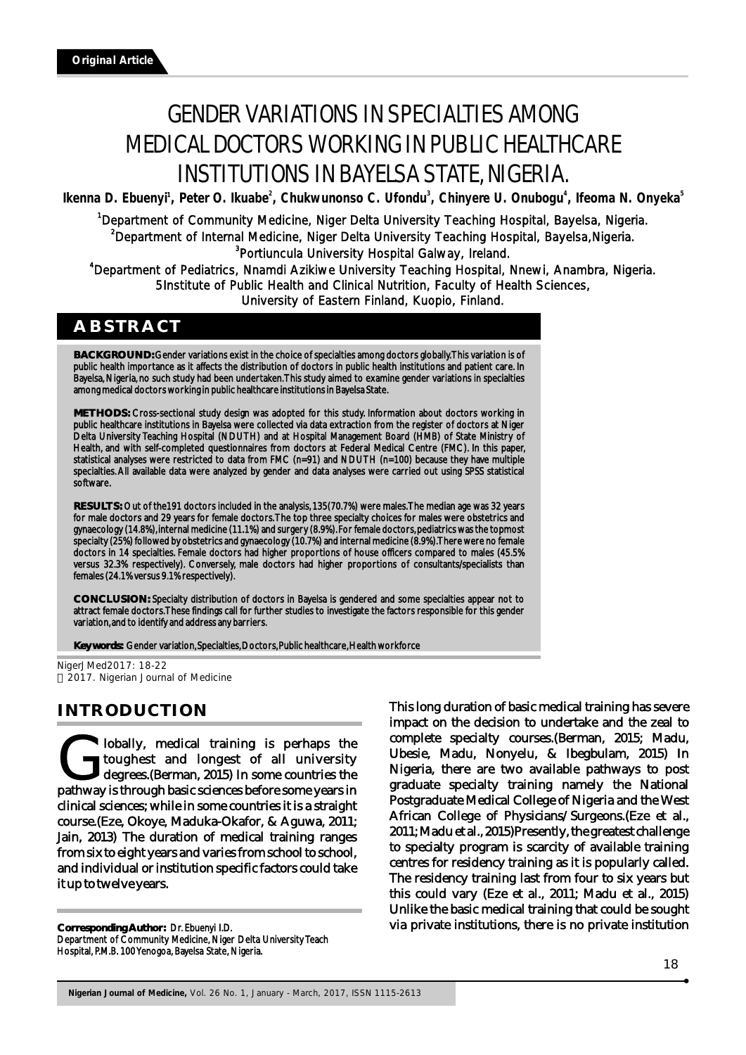# GENDER VARIATIONS IN SPECIALTIES AMONG MEDICAL DOCTORS WORKING IN PUBLIC HEALTHCARE INSTITUTIONS IN BAYELSA STATE, NIGERIA.

Ikenna D. Ebuenyi<sup>1</sup>, Peter O. Ikuabe<sup>2</sup>, Chukwunonso C. Ufondu<sup>3</sup>, Chinyere U. Onubogu<sup>4</sup>, Ifeoma N. Onyeka<sup>5</sup>

<sup>1</sup>Department of Community Medicine, Niger Delta University Teaching Hospital, Bayelsa, Nigeria. <sup>2</sup>Department of Internal Medicine, Niger Delta University Teaching Hospital, Bayelsa,Nigeria. <sup>3</sup>Portiuncula University Hospital Galway, Ireland.

4 Department of Pediatrics, Nnamdi Azikiwe University Teaching Hospital, Nnewi, Anambra, Nigeria. 5Institute of Public Health and Clinical Nutrition, Faculty of Health Sciences, University of Eastern Finland, Kuopio, Finland.

# **ABSTRACT**

**BACKGROUND:** Gender variations exist in the choice of specialties among doctors globally. This variation is of public health importance as it affects the distribution of doctors in public health institutions and patient care. In Bayelsa, Nigeria, no such study had been undertaken. This study aimed to examine gender variations in specialties among medical doctors working in public healthcare institutions in Bayelsa State.

**METHODS:** Cross-sectional study design was adopted for this study. Information about doctors working in public healthcare institutions in Bayelsa were collected via data extraction from the register of doctors at Niger Delta University Teaching Hospital (NDUTH) and at Hospital Management Board (HMB) of State Ministry of Health, and with self-completed questionnaires from doctors at Federal Medical Centre (FMC). In this paper, statistical analyses were restricted to data from FMC (n=91) and NDUTH (n=100) because they have multiple specialties. All available data were analyzed by gender and data analyses were carried out using SPSS statistical software.

**RESULTS:** Out of the191 doctors included in the analysis, 135(70.7%) were males. The median age was 32 years for male doctors and 29 years for female doctors. The top three specialty choices for males were obstetrics and gynaecology (14.8%), internal medicine (11.1%) and surgery (8.9%). For female doctors, pediatrics was the topmost specialty (25%) followed by obstetrics and gynaecology (10.7%) and internal medicine (8.9%). There were no female doctors in 14 specialties. Female doctors had higher proportions of house officers compared to males (45.5% versus 32.3% respectively). Conversely, male doctors had higher proportions of consultants/specialists than females (24.1% versus 9.1% respectively).

**CONCLUSION:** Specialty distribution of doctors in Bayelsa is gendered and some specialties appear not to attract female doctors. These findings call for further studies to investigate the factors responsible for this gender variation, and to identify and address any barriers.

**Key words:** Gender variation, Specialties, Doctors, Public healthcare, Health workforce

NigerJMed2017: 18-22 2017. Nigerian Journal of Medicine

# **INTRODUCTION**

**Complexisting is perhaps** the toughest and longest of all university degrees. (Berman, 2015) In some countries the pathway is through basic sciences before some years in degrees.(Berman, 2015) In some countries the clinical sciences; while in some countries it is a straight course.(Eze, Okoye, Maduka-Okafor, & Aguwa, 2011; Jain, 2013) The duration of medical training ranges from six to eight years and varies from school to school, and individual or institution specific factors could take it up to twelve years.

**Corresponding Author:** Dr. Ebuenyi I.D. Department of Community Medicine, Niger Delta University Teach Hospital, P.M.B. 100 Yenogoa, Bayelsa State, Nigeria.

This long duration of basic medical training has severe impact on the decision to undertake and the zeal to complete specialty courses.(Berman, 2015; Madu, Ubesie, Madu, Nonyelu, & Ibegbulam, 2015) In Nigeria, there are two available pathways to post graduate specialty training namely the National Postgraduate Medical College of Nigeria and the West African College of Physicians/Surgeons.(Eze et al., 2011; Madu et al., 2015)Presently, the greatest challenge to specialty program is scarcity of available training centres for residency training as it is popularly called. The residency training last from four to six years but this could vary (Eze et al., 2011; Madu et al., 2015) Unlike the basic medical training that could be sought via private institutions, there is no private institution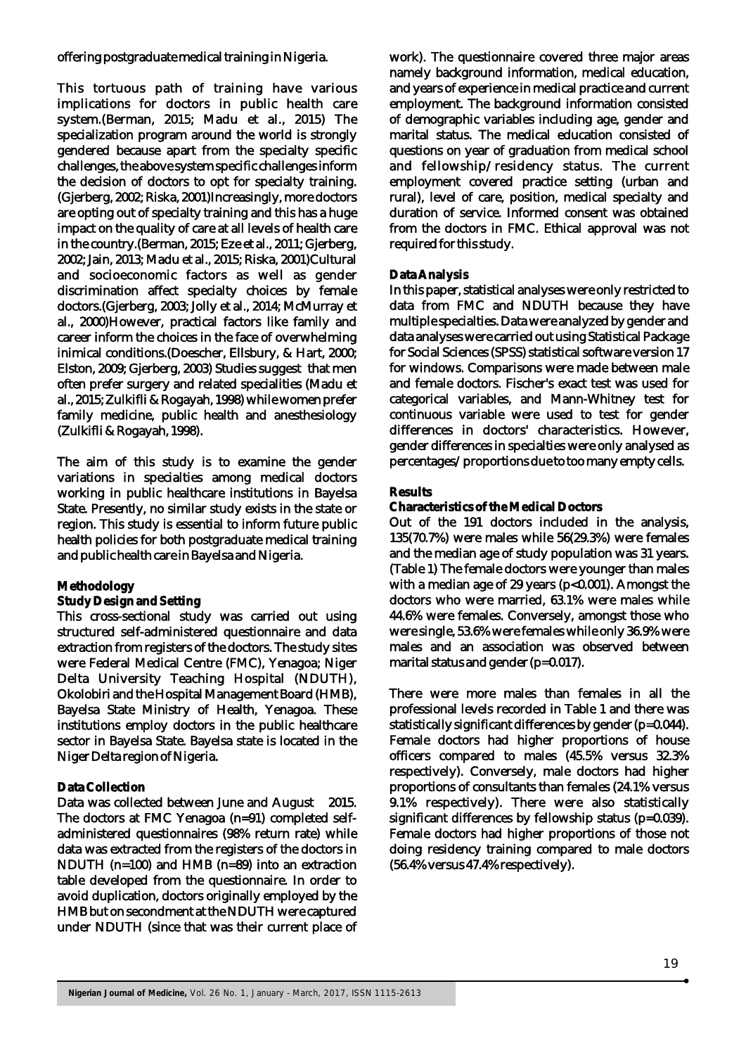offering postgraduate medical training in Nigeria.

This tortuous path of training have various implications for doctors in public health care system.(Berman, 2015; Madu et al., 2015) The specialization program around the world is strongly gendered because apart from the specialty specific challenges, the above system specific challenges inform the decision of doctors to opt for specialty training. (Gjerberg, 2002; Riska, 2001)Increasingly, more doctors are opting out of specialty training and this has a huge impact on the quality of care at all levels of health care in the country.(Berman, 2015; Eze et al., 2011; Gjerberg, 2002; Jain, 2013; Madu et al., 2015; Riska, 2001)Cultural and socioeconomic factors as well as gender discrimination affect specialty choices by female doctors.(Gjerberg, 2003; Jolly et al., 2014; McMurray et al., 2000)However, practical factors like family and career inform the choices in the face of overwhelming inimical conditions.(Doescher, Ellsbury, & Hart, 2000; Elston, 2009; Gjerberg, 2003) Studies suggest that men often prefer surgery and related specialities (Madu et al., 2015; Zulkifli & Rogayah, 1998) while women prefer family medicine, public health and anesthesiology (Zulkifli & Rogayah, 1998).

The aim of this study is to examine the gender variations in specialties among medical doctors working in public healthcare institutions in Bayelsa State. Presently, no similar study exists in the state or region. This study is essential to inform future public health policies for both postgraduate medical training and public health care in Bayelsa and Nigeria.

#### **Methodology**

#### **Study Design and Setting**

This cross-sectional study was carried out using structured self-administered questionnaire and data extraction from registers of the doctors. The study sites were Federal Medical Centre (FMC), Yenagoa; Niger Delta University Teaching Hospital (NDUTH), Okolobiri and the Hospital Management Board (HMB), Bayelsa State Ministry of Health, Yenagoa. These institutions employ doctors in the public healthcare sector in Bayelsa State. Bayelsa state is located in the Niger Delta region of Nigeria.

#### **Data Collection**

Data was collected between June and August 2015. The doctors at FMC Yenagoa (n=91) completed selfadministered questionnaires (98% return rate) while data was extracted from the registers of the doctors in NDUTH (n=100) and HMB (n=89) into an extraction table developed from the questionnaire. In order to avoid duplication, doctors originally employed by the HMB but on secondment at the NDUTH were captured under NDUTH (since that was their current place of work). The questionnaire covered three major areas namely background information, medical education, and years of experience in medical practice and current employment. The background information consisted of demographic variables including age, gender and marital status. The medical education consisted of questions on year of graduation from medical school and fellowship/residency status. The current employment covered practice setting (urban and rural), level of care, position, medical specialty and duration of service. Informed consent was obtained from the doctors in FMC. Ethical approval was not required for this study.

#### **Data Analysis**

In this paper, statistical analyses were only restricted to data from FMC and NDUTH because they have multiple specialties. Data were analyzed by gender and data analyses were carried out using Statistical Package for Social Sciences (SPSS) statistical software version 17 for windows. Comparisons were made between male and female doctors. Fischer's exact test was used for categorical variables, and Mann-Whitney test for continuous variable were used to test for gender differences in doctors' characteristics. However, gender differences in specialties were only analysed as percentages/proportions due to too many empty cells.

#### **Results**

#### **Characteristics of the Medical Doctors**

Out of the 191 doctors included in the analysis, 135(70.7%) were males while 56(29.3%) were females and the median age of study population was 31 years. (Table 1) The female doctors were younger than males with a median age of 29 years ( $p<0.001$ ). Amongst the doctors who were married, 63.1% were males while 44.6% were females. Conversely, amongst those who were single, 53.6% were females while only 36.9% were males and an association was observed between marital status and gender (p=0.017).

There were more males than females in all the professional levels recorded in Table 1 and there was statistically significant differences by gender (p=0.044). Female doctors had higher proportions of house officers compared to males (45.5% versus 32.3% respectively). Conversely, male doctors had higher proportions of consultants than females (24.1% versus 9.1% respectively). There were also statistically significant differences by fellowship status (p=0.039). Female doctors had higher proportions of those not doing residency training compared to male doctors (56.4% versus 47.4% respectively).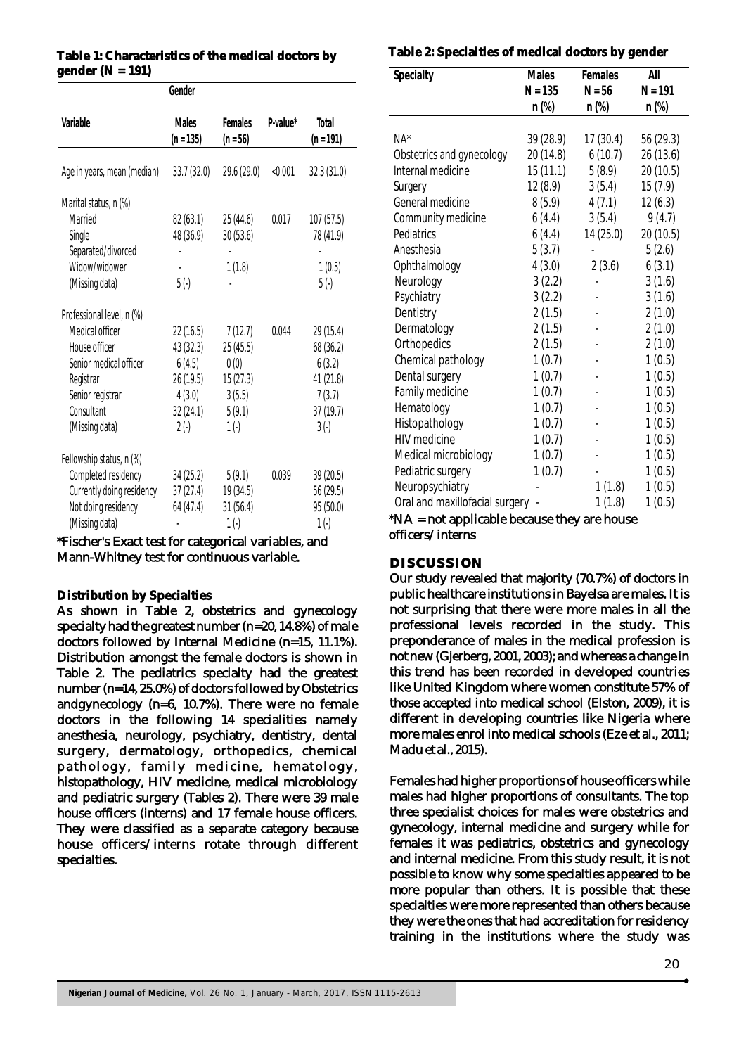# **Table 1: Characteristics of the medical doctors by gender (N = 191)**

| Gender                      |              |             |          |             |
|-----------------------------|--------------|-------------|----------|-------------|
|                             |              |             |          |             |
| Variable                    | <b>Males</b> | Females     | P-value* | Total       |
|                             | $(n = 135)$  | $(n = 56)$  |          | $(n = 191)$ |
|                             |              |             |          |             |
| Age in years, mean (median) | 33.7(32.0)   | 29.6 (29.0) | < 0.001  | 32.3(31.0)  |
| Marital status, n (%)       |              |             |          |             |
| Married                     | 82(63.1)     | 25(44.6)    | 0.017    | 107(57.5)   |
| Single                      | 48 (36.9)    | 30(53.6)    |          | 78 (41.9)   |
| Separated/divorced          |              |             |          |             |
| Widow/widower               |              | 1(1.8)      |          | 1(0.5)      |
| (Missing data)              | $5( - )$     |             |          | $5( - )$    |
|                             |              |             |          |             |
| Professional level, n (%)   |              |             |          |             |
| Medical officer             | 22(16.5)     | 7(12.7)     | 0.044    | 29 (15.4)   |
| House officer               | 43(32.3)     | 25(45.5)    |          | 68 (36.2)   |
| Senior medical officer      | 6(4.5)       | 0(0)        |          | 6(3.2)      |
| Registrar                   | 26 (19.5)    | 15(27.3)    |          | 41(21.8)    |
| Senior registrar            | 4(3.0)       | 3(5.5)      |          | 7(3.7)      |
| Consultant                  | 32(24.1)     | 5(9.1)      |          | 37(19.7)    |
| (Missing data)              | $2(-)$       | $1(-)$      |          | $3(-)$      |
|                             |              |             |          |             |
| Fellowship status, n (%)    |              |             |          |             |
| Completed residency         | 34(25.2)     | 5(9.1)      | 0.039    | 39 (20.5)   |
| Currently doing residency   | 37(27.4)     | 19 (34.5)   |          | 56 (29.5)   |
| Not doing residency         | 64 (47.4)    | 31(56.4)    |          | 95 (50.0)   |
| (Missing data)              |              | $1(-)$      |          | $1( - )$    |

\*Fischer's Exact test for categorical variables, and Mann-Whitney test for continuous variable.

# **Distribution by Specialties**

As shown in Table 2, obstetrics and gynecology specialty had the greatest number (n=20, 14.8%) of male doctors followed by Internal Medicine (n=15, 11.1%). Distribution amongst the female doctors is shown in Table 2. The pediatrics specialty had the greatest number (n=14, 25.0%) of doctors followed by Obstetrics andgynecology (n=6, 10.7%). There were no female doctors in the following 14 specialities namely anesthesia, neurology, psychiatry, dentistry, dental surgery, dermatology, orthopedics, chemical pathology, family medicine, hematology, histopathology, HIV medicine, medical microbiology and pediatric surgery (Tables 2). There were 39 male house officers (interns) and 17 female house officers. They were classified as a separate category because house officers/interns rotate through different specialties.

### **Table 2: Specialties of medical doctors by gender**

| Specialty                                    | Males     | Females     | All       |
|----------------------------------------------|-----------|-------------|-----------|
|                                              | $N = 135$ | $N = 56$    | $N = 191$ |
|                                              | n (%)     | n (%)       | n (%)     |
|                                              |           |             |           |
| $NA^*$                                       | 39 (28.9) | 17(30.4)    | 56 (29.3) |
| Obstetrics and gynecology                    | 20 (14.8) | 6(10.7)     | 26(13.6)  |
| Internal medicine                            | 15(11.1)  | 5(8.9)      | 20 (10.5) |
| Surgery                                      | 12(8.9)   | 3(5.4)      | 15(7.9)   |
| General medicine                             | 8(5.9)    | 4(7.1)      | 12(6.3)   |
| Community medicine                           | 6(4.4)    | 3(5.4)      | 9(4.7)    |
| Pediatrics                                   | 6(4.4)    | 14 (25.0)   | 20 (10.5) |
| Anesthesia                                   | 5(3.7)    |             | 5(2.6)    |
| Ophthalmology                                | 4(3.0)    | 2(3.6)      | 6(3.1)    |
| Neurology                                    | 3(2.2)    |             | 3(1.6)    |
| Psychiatry                                   | 3(2.2)    |             | 3(1.6)    |
| Dentistry                                    | 2(1.5)    |             | 2(1.0)    |
| Dermatology                                  | 2(1.5)    |             | 2(1.0)    |
| Orthopedics                                  | 2(1.5)    |             | 2(1.0)    |
| Chemical pathology                           | 1(0.7)    |             | 1(0.5)    |
| Dental surgery                               | 1(0.7)    |             | 1(0.5)    |
| Family medicine                              | 1(0.7)    |             | 1(0.5)    |
| Hematology                                   | 1(0.7)    |             | 1(0.5)    |
| Histopathology                               | 1(0.7)    |             | 1(0.5)    |
| HIV medicine                                 | 1(0.7)    |             | 1(0.5)    |
| Medical microbiology                         | 1(0.7)    |             | 1(0.5)    |
| Pediatric surgery                            | 1(0.7)    |             | 1(0.5)    |
| Neuropsychiatry                              |           | 1(1.8)      | 1(0.5)    |
| Oral and maxillofacial surgery<br>aliaahla h | 41.       | 1(1.8)<br>L | 1(0.5)    |

#### \*NA = not applicable because they are house officers/interns

# **DISCUSSION**

Our study revealed that majority (70.7%) of doctors in public healthcare institutions in Bayelsa are males. It is not surprising that there were more males in all the professional levels recorded in the study. This preponderance of males in the medical profession is not new (Gjerberg, 2001, 2003); and whereas a change in this trend has been recorded in developed countries like United Kingdom where women constitute 57% of those accepted into medical school (Elston, 2009), it is different in developing countries like Nigeria where more males enrol into medical schools (Eze et al., 2011; Madu et al., 2015).

Females had higher proportions of house officers while males had higher proportions of consultants. The top three specialist choices for males were obstetrics and gynecology, internal medicine and surgery while for females it was pediatrics, obstetrics and gynecology and internal medicine. From this study result, it is not possible to know why some specialties appeared to be more popular than others. It is possible that these specialties were more represented than others because they were the ones that had accreditation for residency training in the institutions where the study was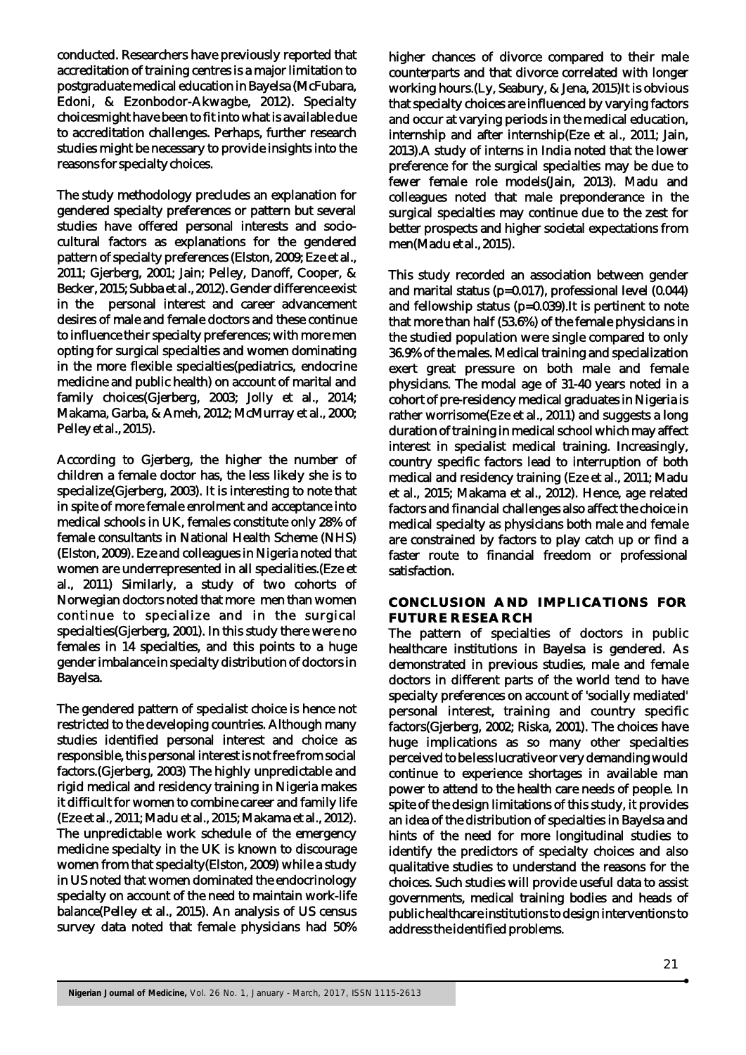conducted. Researchers have previously reported that accreditation of training centres is a major limitation to postgraduate medical education in Bayelsa (McFubara, Edoni, & Ezonbodor-Akwagbe, 2012). Specialty choicesmight have been to fit into what is available due to accreditation challenges. Perhaps, further research studies might be necessary to provide insights into the reasons for specialty choices.

The study methodology precludes an explanation for gendered specialty preferences or pattern but several studies have offered personal interests and sociocultural factors as explanations for the gendered pattern of specialty preferences (Elston, 2009; Eze et al., 2011; Gjerberg, 2001; Jain; Pelley, Danoff, Cooper, & Becker, 2015; Subba et al., 2012). Gender difference exist in the personal interest and career advancement desires of male and female doctors and these continue to influence their specialty preferences; with more men opting for surgical specialties and women dominating in the more flexible specialties(pediatrics, endocrine medicine and public health) on account of marital and family choices(Gjerberg, 2003; Jolly et al., 2014; Makama, Garba, & Ameh, 2012; McMurray et al., 2000; Pelley et al., 2015).

According to Gjerberg, the higher the number of children a female doctor has, the less likely she is to specialize(Gjerberg, 2003). It is interesting to note that in spite of more female enrolment and acceptance into medical schools in UK, females constitute only 28% of female consultants in National Health Scheme (NHS) (Elston, 2009). Eze and colleagues in Nigeria noted that women are underrepresented in all specialities.(Eze et al., 2011) Similarly, a study of two cohorts of Norwegian doctors noted that more men than women continue to specialize and in the surgical specialties(Gjerberg, 2001). In this study there were no females in 14 specialties, and this points to a huge gender imbalance in specialty distribution of doctors in Bayelsa.

The gendered pattern of specialist choice is hence not restricted to the developing countries. Although many studies identified personal interest and choice as responsible, this personal interest is not free from social factors.(Gjerberg, 2003) The highly unpredictable and rigid medical and residency training in Nigeria makes it difficult for women to combine career and family life (Eze et al., 2011; Madu et al., 2015; Makama et al., 2012). The unpredictable work schedule of the emergency medicine specialty in the UK is known to discourage women from that specialty(Elston, 2009) while a study in US noted that women dominated the endocrinology specialty on account of the need to maintain work-life balance(Pelley et al., 2015). An analysis of US census survey data noted that female physicians had 50%

higher chances of divorce compared to their male counterparts and that divorce correlated with longer working hours.(Ly, Seabury, & Jena, 2015)It is obvious that specialty choices are influenced by varying factors and occur at varying periods in the medical education, internship and after internship(Eze et al., 2011; Jain, 2013).A study of interns in India noted that the lower preference for the surgical specialties may be due to fewer female role models(Jain, 2013). Madu and colleagues noted that male preponderance in the surgical specialties may continue due to the zest for better prospects and higher societal expectations from men(Madu et al., 2015).

This study recorded an association between gender and marital status (p=0.017), professional level (0.044) and fellowship status (p=0.039).It is pertinent to note that more than half (53.6%) of the female physicians in the studied population were single compared to only 36.9% of the males. Medical training and specialization exert great pressure on both male and female physicians. The modal age of 31-40 years noted in a cohort of pre-residency medical graduates in Nigeria is rather worrisome(Eze et al., 2011) and suggests a long duration of training in medical school which may affect interest in specialist medical training. Increasingly, country specific factors lead to interruption of both medical and residency training (Eze et al., 2011; Madu et al., 2015; Makama et al., 2012). Hence, age related factors and financial challenges also affect the choice in medical specialty as physicians both male and female are constrained by factors to play catch up or find a faster route to financial freedom or professional satisfaction.

#### **CONCLUSION AND IMPLICATIONS FOR FUTURE RESEARCH**

The pattern of specialties of doctors in public healthcare institutions in Bayelsa is gendered. As demonstrated in previous studies, male and female doctors in different parts of the world tend to have specialty preferences on account of 'socially mediated' personal interest, training and country specific factors(Gjerberg, 2002; Riska, 2001). The choices have huge implications as so many other specialties perceived to be less lucrative or very demanding would continue to experience shortages in available man power to attend to the health care needs of people. In spite of the design limitations of this study, it provides an idea of the distribution of specialties in Bayelsa and hints of the need for more longitudinal studies to identify the predictors of specialty choices and also qualitative studies to understand the reasons for the choices. Such studies will provide useful data to assist governments, medical training bodies and heads of public healthcare institutions to design interventions to address the identified problems.